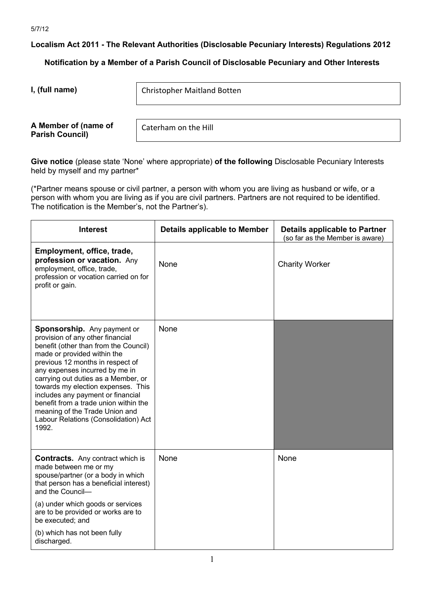**Localism Act 2011 - The Relevant Authorities (Disclosable Pecuniary Interests) Regulations 2012**

**Notification by a Member of a Parish Council of Disclosable Pecuniary and Other Interests**

**I, (full name)** 

Christopher Maitland Botten

**A Member of (name of Parish Council)** 

Caterham on the Hill

**Give notice** (please state 'None' where appropriate) **of the following** Disclosable Pecuniary Interests held by myself and my partner\*

(\*Partner means spouse or civil partner, a person with whom you are living as husband or wife, or a person with whom you are living as if you are civil partners. Partners are not required to be identified. The notification is the Member's, not the Partner's).

| <b>Interest</b>                                                                                                                                                                                                                                                                                                                                                                                                                                                    | <b>Details applicable to Member</b> | <b>Details applicable to Partner</b><br>(so far as the Member is aware) |
|--------------------------------------------------------------------------------------------------------------------------------------------------------------------------------------------------------------------------------------------------------------------------------------------------------------------------------------------------------------------------------------------------------------------------------------------------------------------|-------------------------------------|-------------------------------------------------------------------------|
| Employment, office, trade,<br>profession or vacation. Any<br>employment, office, trade,<br>profession or vocation carried on for<br>profit or gain.                                                                                                                                                                                                                                                                                                                | None                                | <b>Charity Worker</b>                                                   |
| <b>Sponsorship.</b> Any payment or<br>provision of any other financial<br>benefit (other than from the Council)<br>made or provided within the<br>previous 12 months in respect of<br>any expenses incurred by me in<br>carrying out duties as a Member, or<br>towards my election expenses. This<br>includes any payment or financial<br>benefit from a trade union within the<br>meaning of the Trade Union and<br>Labour Relations (Consolidation) Act<br>1992. | None                                |                                                                         |
| <b>Contracts.</b> Any contract which is<br>made between me or my<br>spouse/partner (or a body in which<br>that person has a beneficial interest)<br>and the Council-<br>(a) under which goods or services<br>are to be provided or works are to<br>be executed; and                                                                                                                                                                                                | None                                | None                                                                    |
| (b) which has not been fully<br>discharged.                                                                                                                                                                                                                                                                                                                                                                                                                        |                                     |                                                                         |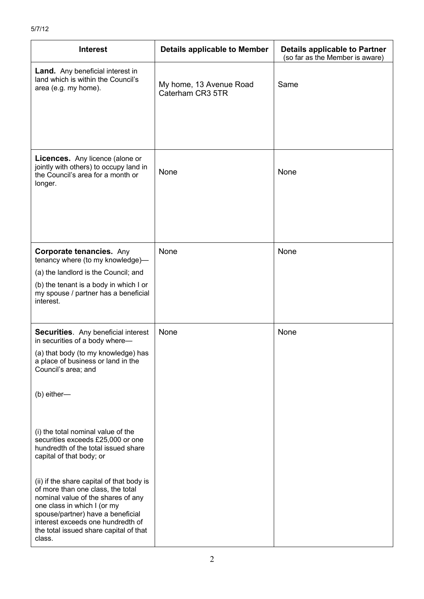| <b>Interest</b>                                                                                                                                                                                                                                                                   | <b>Details applicable to Member</b>         | <b>Details applicable to Partner</b><br>(so far as the Member is aware) |
|-----------------------------------------------------------------------------------------------------------------------------------------------------------------------------------------------------------------------------------------------------------------------------------|---------------------------------------------|-------------------------------------------------------------------------|
| <b>Land.</b> Any beneficial interest in<br>land which is within the Council's<br>area (e.g. my home).                                                                                                                                                                             | My home, 13 Avenue Road<br>Caterham CR3 5TR | Same                                                                    |
| Licences. Any licence (alone or<br>jointly with others) to occupy land in<br>the Council's area for a month or<br>longer.                                                                                                                                                         | None                                        | None                                                                    |
| <b>Corporate tenancies. Any</b><br>tenancy where (to my knowledge)-                                                                                                                                                                                                               | None                                        | None                                                                    |
| (a) the landlord is the Council; and                                                                                                                                                                                                                                              |                                             |                                                                         |
| (b) the tenant is a body in which I or<br>my spouse / partner has a beneficial<br>interest.                                                                                                                                                                                       |                                             |                                                                         |
| <b>Securities.</b> Any beneficial interest<br>in securities of a body where-                                                                                                                                                                                                      | None                                        | None                                                                    |
| (a) that body (to my knowledge) has<br>a place of business or land in the<br>Council's area; and                                                                                                                                                                                  |                                             |                                                                         |
| (b) either-                                                                                                                                                                                                                                                                       |                                             |                                                                         |
| (i) the total nominal value of the<br>securities exceeds £25,000 or one<br>hundredth of the total issued share<br>capital of that body; or                                                                                                                                        |                                             |                                                                         |
| (ii) if the share capital of that body is<br>of more than one class, the total<br>nominal value of the shares of any<br>one class in which I (or my<br>spouse/partner) have a beneficial<br>interest exceeds one hundredth of<br>the total issued share capital of that<br>class. |                                             |                                                                         |